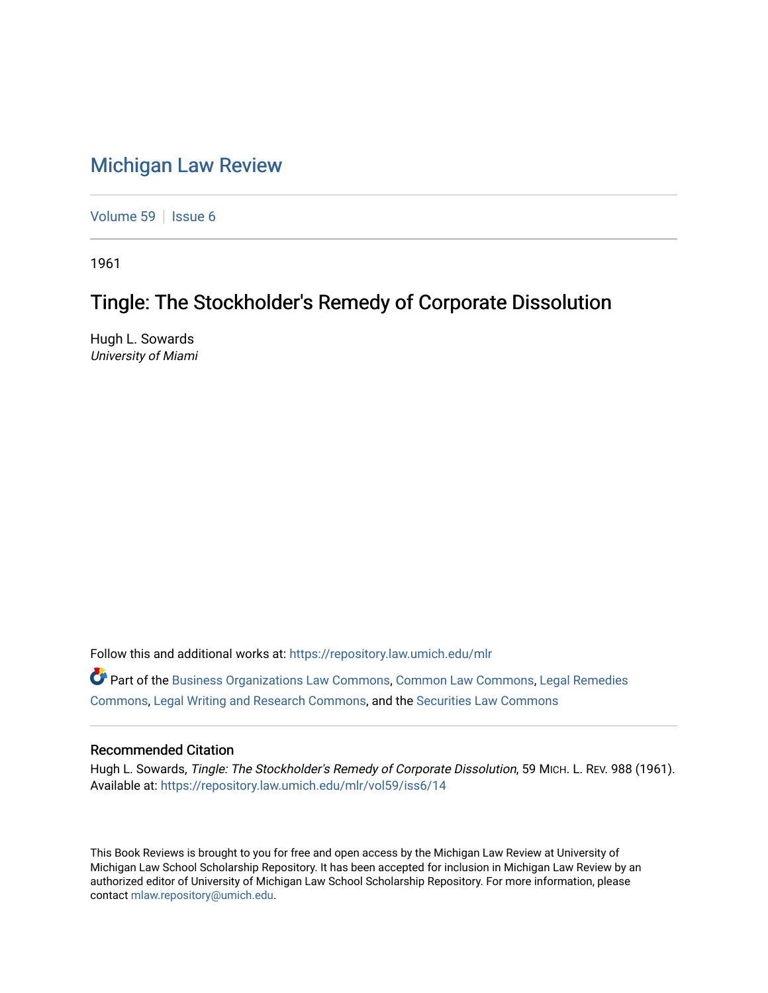## [Michigan Law Review](https://repository.law.umich.edu/mlr)

[Volume 59](https://repository.law.umich.edu/mlr/vol59) | [Issue 6](https://repository.law.umich.edu/mlr/vol59/iss6)

1961

## Tingle: The Stockholder's Remedy of Corporate Dissolution

Hugh L. Sowards University of Miami

Follow this and additional works at: [https://repository.law.umich.edu/mlr](https://repository.law.umich.edu/mlr?utm_source=repository.law.umich.edu%2Fmlr%2Fvol59%2Fiss6%2F14&utm_medium=PDF&utm_campaign=PDFCoverPages) 

Part of the [Business Organizations Law Commons](http://network.bepress.com/hgg/discipline/900?utm_source=repository.law.umich.edu%2Fmlr%2Fvol59%2Fiss6%2F14&utm_medium=PDF&utm_campaign=PDFCoverPages), [Common Law Commons,](http://network.bepress.com/hgg/discipline/1120?utm_source=repository.law.umich.edu%2Fmlr%2Fvol59%2Fiss6%2F14&utm_medium=PDF&utm_campaign=PDFCoverPages) [Legal Remedies](http://network.bepress.com/hgg/discipline/618?utm_source=repository.law.umich.edu%2Fmlr%2Fvol59%2Fiss6%2F14&utm_medium=PDF&utm_campaign=PDFCoverPages) [Commons](http://network.bepress.com/hgg/discipline/618?utm_source=repository.law.umich.edu%2Fmlr%2Fvol59%2Fiss6%2F14&utm_medium=PDF&utm_campaign=PDFCoverPages), [Legal Writing and Research Commons](http://network.bepress.com/hgg/discipline/614?utm_source=repository.law.umich.edu%2Fmlr%2Fvol59%2Fiss6%2F14&utm_medium=PDF&utm_campaign=PDFCoverPages), and the [Securities Law Commons](http://network.bepress.com/hgg/discipline/619?utm_source=repository.law.umich.edu%2Fmlr%2Fvol59%2Fiss6%2F14&utm_medium=PDF&utm_campaign=PDFCoverPages) 

## Recommended Citation

Hugh L. Sowards, Tingle: The Stockholder's Remedy of Corporate Dissolution, 59 MICH. L. REV. 988 (1961). Available at: [https://repository.law.umich.edu/mlr/vol59/iss6/14](https://repository.law.umich.edu/mlr/vol59/iss6/14?utm_source=repository.law.umich.edu%2Fmlr%2Fvol59%2Fiss6%2F14&utm_medium=PDF&utm_campaign=PDFCoverPages) 

This Book Reviews is brought to you for free and open access by the Michigan Law Review at University of Michigan Law School Scholarship Repository. It has been accepted for inclusion in Michigan Law Review by an authorized editor of University of Michigan Law School Scholarship Repository. For more information, please contact [mlaw.repository@umich.edu](mailto:mlaw.repository@umich.edu).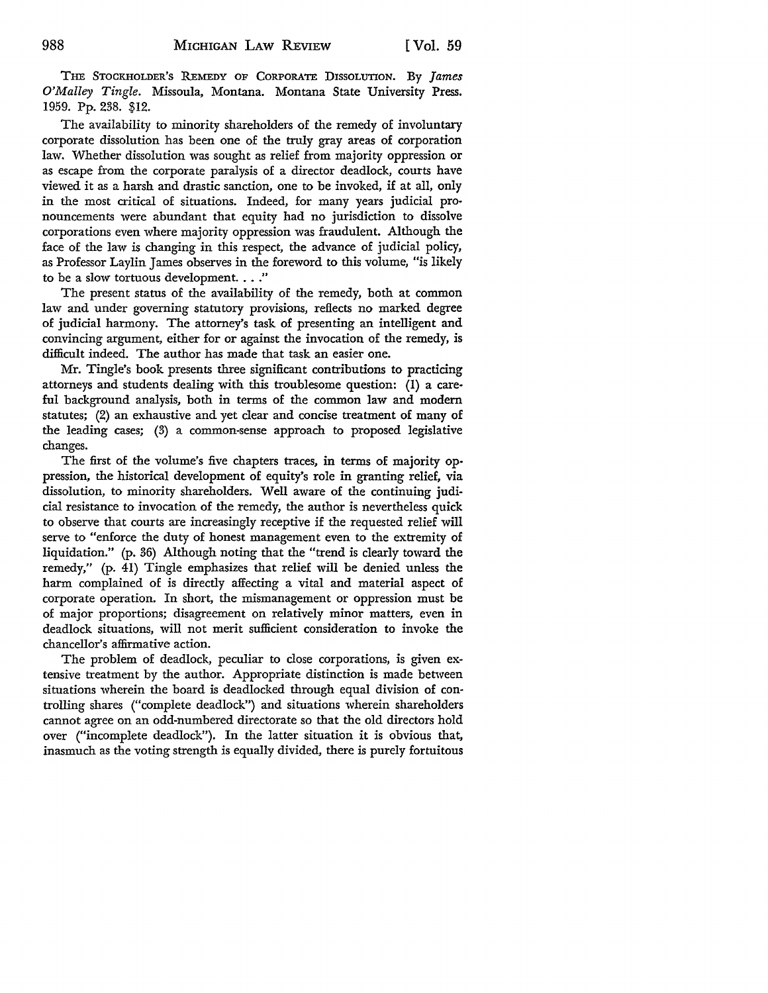THE STOCKHOLDER'S REMEDY OF CORPORATE D1ssoLUTION. By *James O'Malley Tingle.* Missoula, Montana. Montana State University Press. 1959. Pp. 238. \$12.

The availability to minority shareholders of the remedy of involuntary corporate dissolution has been one of the truly gray areas of corporation law. Whether dissolution was sought as relief from majority oppression or as escape from the corporate paralysis of a director deadlock, courts have viewed it as a harsh and drastic sanction, one to be invoked, if at all, only in the most critical of situations. Indeed, for many years judicial pronouncements were abundant that equity had no jurisdiction to dissolve corporations even where majority oppression was fraudulent. Although the face of the law is changing in this respect, the advance of judicial policy, as Professor Laylin James observes in the foreword to this volume, "is likely to be a slow tortuous development. . . ."

The present status of the availability of the remedy, both at common law and under governing statutory provisions, reflects no marked degree of judicial harmony. The attorney's task of presenting an intelligent and convincing argument, either for or against the invocation of the remedy, is difficult indeed. The author has made that task an easier one.

Mr. Tingle's book presents three significant contributions to practicing attorneys and students dealing with this troublesome question: (1) a careful background analysis, both in terms of the common law and modern statutes; (2) an exhaustive and yet clear and concise treatment of many of the leading cases; (3) a common-sense approach to proposed legislative changes.

The first of the volume's five chapters traces, in terms of majority op• pression, the historical development of equity's role in granting relief, via dissolution, to minority shareholders. Well aware of the continuing judicial resistance to invocation of the remedy, the author is nevertheless quick to observe that courts are increasingly receptive if the requested relief will serve to "enforce the duty of honest management even to the extremity of liquidation." (p. 36) Although noting that the "trend is clearly toward the remedy," (p. 41) Tingle emphasizes that relief will be denied unless the harm complained of is directly affecting a vital and material aspect of corporate operation. In short, the mismanagement or oppression must be of major proportions; disagreement on relatively minor matters, even in deadlock situations, will not merit sufficient consideration to invoke the chancellor's affirmative action.

The problem of deadlock, peculiar to close corporations, is given extensive treatment by the author. Appropriate distinction is made between situations wherein the board is deadlocked through equal division of controlling shares ("complete deadlock") and situations wherein shareholders cannot agree on an odd-numbered directorate so that the old directors hold over ("incomplete deadlock"). In the latter situation it is obvious that, inasmuch as the voting strength is equally divided, there is purely fortuitous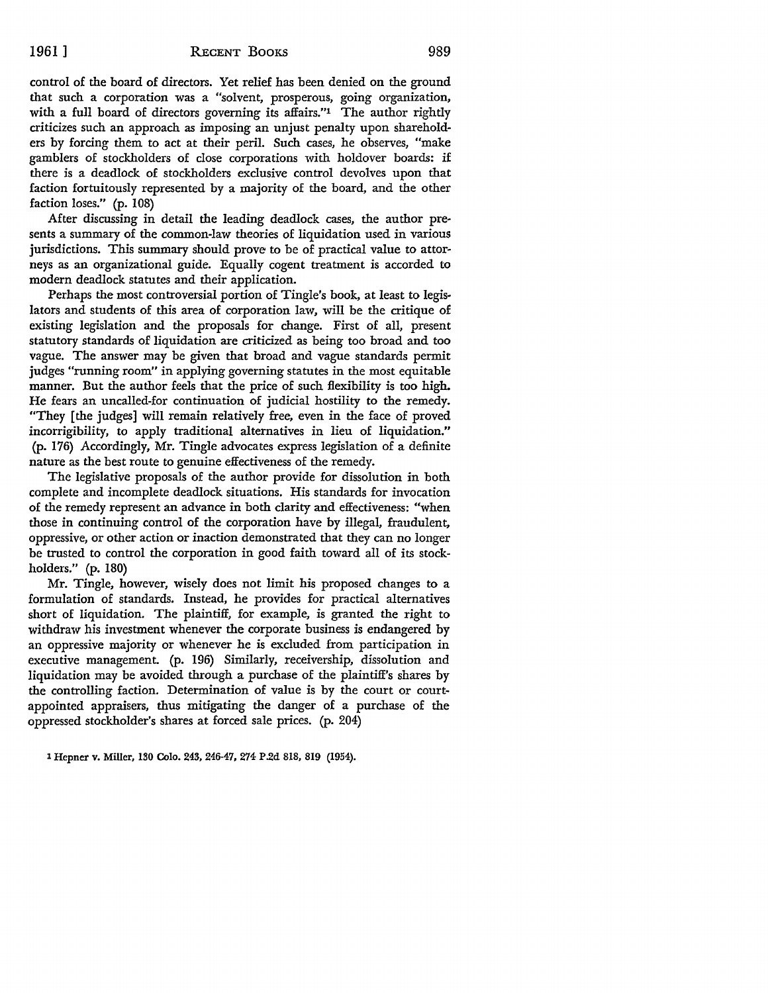control of the board of directors. Yet relief has been denied on the ground that such a corporation was a "solvent, prosperous, going organization, with a full board of directors governing its affairs."<sup>1</sup> The author rightly criticizes such an approach as imposing an unjust penalty upon shareholders by forcing them to act at their peril. Such cases, he observes, "make gamblers of stockholders of close corporations with holdover boards: if there is a deadlock of stockholders exclusive control devolves upon that faction fortuitously represented by a majority of the board, and the other faction loses." (p. 108)

After discussing in detail the leading deadlock cases, the author presents a summary of the common-law theories of liquidation used in various jurisdictions. This summary should prove to be of practical value to attorneys as an organizational guide. Equally cogent treatment is accorded to modern deadlock statutes and their application.

Perhaps the most controversial portion of Tingle's book, at least to legislators and students of this area of corporation law, will be the critique of existing legislation and the proposals for change. First of all, present statutory standards of liquidation are criticized as being too broad and too vague. The answer may be given that broad and vague standards permit judges "running room" in applying governing statutes in the most equitable manner. But the author feels that the price of such flexibility is too high. He fears an uncalled-for continuation of judicial hostility to the remedy. "They [ the judges] will remain relatively free, even in the face of proved incorrigibility, to apply traditional alternatives in lieu of liquidation." (p. 176) Accordingly, Mr. Tingle advocates express legislation of a definite nature as the best route to genuine effectiveness of the remedy.

The legislative proposals of the author provide for dissolution in both complete and incomplete deadlock situations. His standards for invocation of the remedy represent an advance in both clarity and effectiveness: "when those in continuing control of the corporation have by illegal, fraudulent, oppressive, or other action or inaction demonstrated that they can no longer be trusted to control the corporation in good faith toward all of its stockholders." (p. 180)

Mr. Tingle, however, wisely does not limit his proposed changes to a formulation of standards. Instead, he provides for practical alternatives short of liquidation. The plaintiff, for example, is granted the right to withdraw his investment whenever the corporate business is endangered by an oppressive majority or whenever he is excluded from participation in executive management. (p. 196) Similarly, receivership, dissolution and liquidation may be avoided through a purchase of the plaintiff's shares by the controlling faction. Determination of value is by the court or courtappointed appraisers, thus mitigating the danger of a purchase of the oppressed stockholder's shares at forced sale prices. (p. 204)

1 Hepner v. Miller, 130 Colo. 243, 246-47, 274 P.2d 818, 819 (1954).